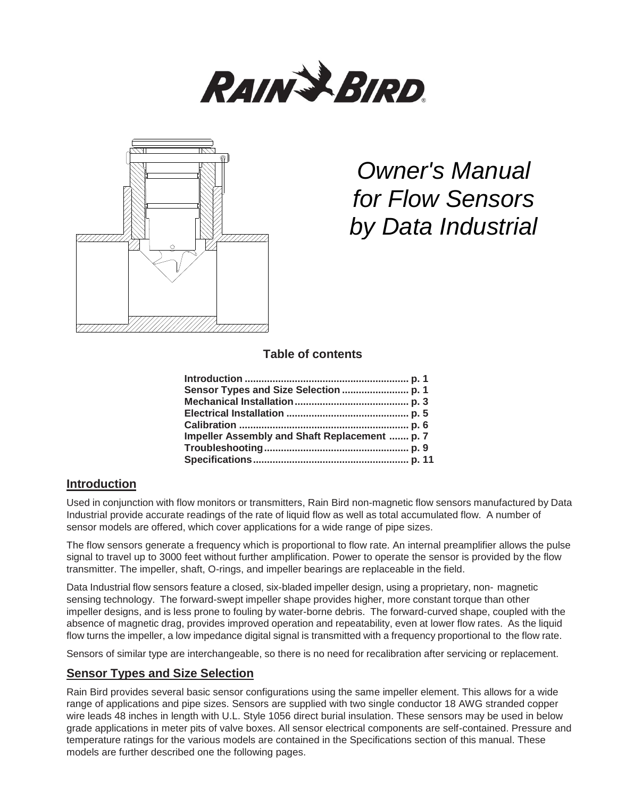



# *Owner's Manual for Flow Sensors by Data Industrial*

# **Table of contents**

| Impeller Assembly and Shaft Replacement  p. 7 |  |
|-----------------------------------------------|--|
|                                               |  |
|                                               |  |

# **Introduction**

Used in conjunction with flow monitors or transmitters, Rain Bird non-magnetic flow sensors manufactured by Data Industrial provide accurate readings of the rate of liquid flow as well as total accumulated flow. A number of sensor models are offered, which cover applications for a wide range of pipe sizes.

The flow sensors generate a frequency which is proportional to flow rate. An internal preamplifier allows the pulse signal to travel up to 3000 feet without further amplification. Power to operate the sensor is provided by the flow transmitter. The impeller, shaft, O-rings, and impeller bearings are replaceable in the field.

Data Industrial flow sensors feature a closed, six-bladed impeller design, using a proprietary, non- magnetic sensing technology. The forward-swept impeller shape provides higher, more constant torque than other impeller designs, and is less prone to fouling by water-borne debris. The forward-curved shape, coupled with the absence of magnetic drag, provides improved operation and repeatability, even at lower flow rates. As the liquid flow turns the impeller, a low impedance digital signal is transmitted with a frequency proportional to the flow rate.

Sensors of similar type are interchangeable, so there is no need for recalibration after servicing or replacement.

# **Sensor Types and Size Selection**

Rain Bird provides several basic sensor configurations using the same impeller element. This allows for a wide range of applications and pipe sizes. Sensors are supplied with two single conductor 18 AWG stranded copper wire leads 48 inches in length with U.L. Style 1056 direct burial insulation. These sensors may be used in below grade applications in meter pits of valve boxes. All sensor electrical components are self-contained. Pressure and temperature ratings for the various models are contained in the Specifications section of this manual. These models are further described one the following pages.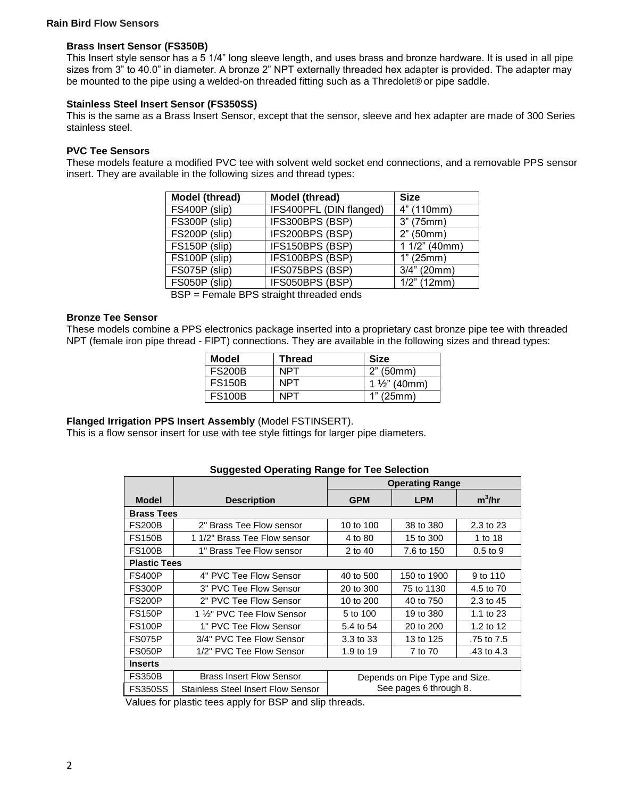#### **Rain Bird Flow Sensors**

#### **Brass Insert Sensor (FS350B)**

This Insert style sensor has a 5 1/4" long sleeve length, and uses brass and bronze hardware. It is used in all pipe sizes from 3" to 40.0" in diameter. A bronze 2" NPT externally threaded hex adapter is provided. The adapter may be mounted to the pipe using a welded-on threaded fitting such as a Thredolet® or pipe saddle.

#### **Stainless Steel Insert Sensor (FS350SS)**

This is the same as a Brass Insert Sensor, except that the sensor, sleeve and hex adapter are made of 300 Series stainless steel.

#### **PVC Tee Sensors**

These models feature a modified PVC tee with solvent weld socket end connections, and a removable PPS sensor insert. They are available in the following sizes and thread types:

| Model (thread) | Model (thread)          | <b>Size</b>     |
|----------------|-------------------------|-----------------|
| FS400P (slip)  | IFS400PFL (DIN flanged) | 4" (110mm)      |
| FS300P (slip)  | IFS300BPS (BSP)         | 3" (75mm)       |
| FS200P (slip)  | IFS200BPS (BSP)         | 2" (50mm)       |
| FS150P (slip)  | IFS150BPS (BSP)         | $11/2$ " (40mm) |
| FS100P (slip)  | IFS100BPS (BSP)         | 1" (25mm)       |
| FS075P (slip)  | IFS075BPS (BSP)         | $3/4$ " (20mm)  |
| FS050P (slip)  | IFS050BPS (BSP)         | $1/2$ " (12mm)  |

BSP = Female BPS straight threaded ends

#### **Bronze Tee Sensor**

These models combine a PPS electronics package inserted into a proprietary cast bronze pipe tee with threaded NPT (female iron pipe thread - FIPT) connections. They are available in the following sizes and thread types:

| Model         | Thread | Size                    |
|---------------|--------|-------------------------|
| <b>FS200B</b> | NPT    | 2" (50mm)               |
| <b>FS150B</b> | NPT    | $1\frac{1}{2}$ " (40mm) |
| <b>FS100B</b> | NPT    | 1" (25mm)               |

## **Flanged Irrigation PPS Insert Assembly** (Model FSTINSERT).

This is a flow sensor insert for use with tee style fittings for larger pipe diameters.

#### **Suggested Operating Range for Tee Selection**

|                     |                                    | <b>Operating Range</b>         |             |              |  |
|---------------------|------------------------------------|--------------------------------|-------------|--------------|--|
| <b>Model</b>        | <b>Description</b>                 | <b>GPM</b>                     | <b>LPM</b>  | $m^3/hr$     |  |
| <b>Brass Tees</b>   |                                    |                                |             |              |  |
| <b>FS200B</b>       | 2" Brass Tee Flow sensor           | 10 to 100                      | 38 to 380   | 2.3 to 23    |  |
| <b>FS150B</b>       | 1 1/2" Brass Tee Flow sensor       | 4 to 80                        | 15 to 300   | 1 to 18      |  |
| <b>FS100B</b>       | 1" Brass Tee Flow sensor           | 2 to 40                        | 7.6 to 150  | $0.5$ to $9$ |  |
| <b>Plastic Tees</b> |                                    |                                |             |              |  |
| <b>FS400P</b>       | 4" PVC Tee Flow Sensor             | 40 to 500                      | 150 to 1900 | 9 to 110     |  |
| <b>FS300P</b>       | 3" PVC Tee Flow Sensor             | 20 to 300                      | 75 to 1130  | 4.5 to 70    |  |
| <b>FS200P</b>       | 2" PVC Tee Flow Sensor             | 10 to 200                      | 40 to 750   | 2.3 to 45    |  |
| <b>FS150P</b>       | 1 1/2" PVC Tee Flow Sensor         | 5 to 100                       | 19 to 380   | 1.1 to $23$  |  |
| <b>FS100P</b>       | 1" PVC Tee Flow Sensor             | 5.4 to 54                      | 20 to 200   | 1.2 to 12    |  |
| <b>FS075P</b>       | 3/4" PVC Tee Flow Sensor           | 3.3 to 33                      | 13 to 125   | .75 to 7.5   |  |
| <b>FS050P</b>       | 1/2" PVC Tee Flow Sensor           | 1.9 to 19                      | 7 to 70     | .43 to 4.3   |  |
| <b>Inserts</b>      |                                    |                                |             |              |  |
| <b>FS350B</b>       | <b>Brass Insert Flow Sensor</b>    | Depends on Pipe Type and Size. |             |              |  |
| <b>FS350SS</b>      | Stainless Steel Insert Flow Sensor | See pages 6 through 8.         |             |              |  |

Values for plastic tees apply for BSP and slip threads.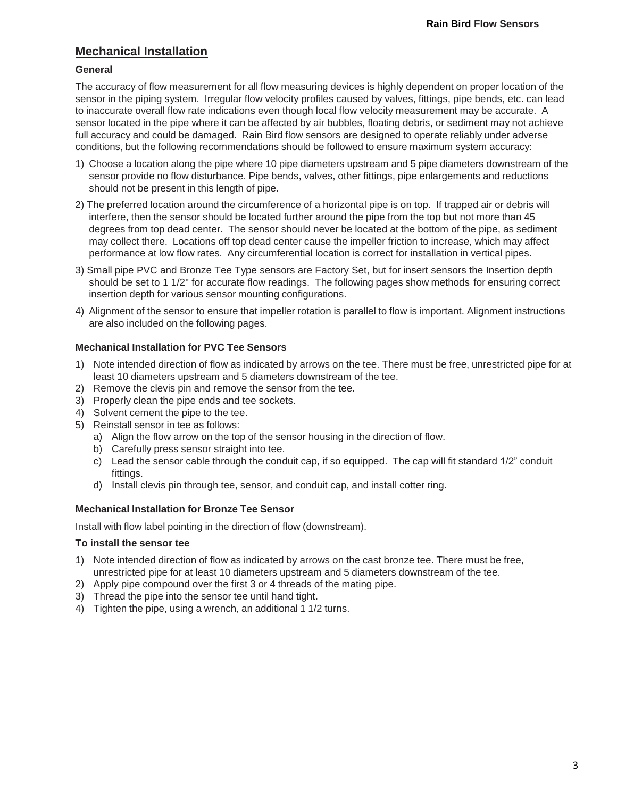# **Mechanical Installation**

### **General**

The accuracy of flow measurement for all flow measuring devices is highly dependent on proper location of the sensor in the piping system. Irregular flow velocity profiles caused by valves, fittings, pipe bends, etc. can lead to inaccurate overall flow rate indications even though local flow velocity measurement may be accurate. A sensor located in the pipe where it can be affected by air bubbles, floating debris, or sediment may not achieve full accuracy and could be damaged. Rain Bird flow sensors are designed to operate reliably under adverse conditions, but the following recommendations should be followed to ensure maximum system accuracy:

- 1) Choose a location along the pipe where 10 pipe diameters upstream and 5 pipe diameters downstream of the sensor provide no flow disturbance. Pipe bends, valves, other fittings, pipe enlargements and reductions should not be present in this length of pipe.
- 2) The preferred location around the circumference of a horizontal pipe is on top. If trapped air or debris will interfere, then the sensor should be located further around the pipe from the top but not more than 45 degrees from top dead center. The sensor should never be located at the bottom of the pipe, as sediment may collect there. Locations off top dead center cause the impeller friction to increase, which may affect performance at low flow rates. Any circumferential location is correct for installation in vertical pipes.
- 3) Small pipe PVC and Bronze Tee Type sensors are Factory Set, but for insert sensors the Insertion depth should be set to 1 1/2" for accurate flow readings. The following pages show methods for ensuring correct insertion depth for various sensor mounting configurations.
- 4) Alignment of the sensor to ensure that impeller rotation is parallel to flow is important. Alignment instructions are also included on the following pages.

## **Mechanical Installation for PVC Tee Sensors**

- 1) Note intended direction of flow as indicated by arrows on the tee. There must be free, unrestricted pipe for at least 10 diameters upstream and 5 diameters downstream of the tee.
- 2) Remove the clevis pin and remove the sensor from the tee.
- 3) Properly clean the pipe ends and tee sockets.
- 4) Solvent cement the pipe to the tee.
- 5) Reinstall sensor in tee as follows:
	- a) Align the flow arrow on the top of the sensor housing in the direction of flow.
	- b) Carefully press sensor straight into tee.
	- c) Lead the sensor cable through the conduit cap, if so equipped. The cap will fit standard 1/2" conduit fittings.
	- d) Install clevis pin through tee, sensor, and conduit cap, and install cotter ring.

#### **Mechanical Installation for Bronze Tee Sensor**

Install with flow label pointing in the direction of flow (downstream).

#### **To install the sensor tee**

- 1) Note intended direction of flow as indicated by arrows on the cast bronze tee. There must be free, unrestricted pipe for at least 10 diameters upstream and 5 diameters downstream of the tee.
- 2) Apply pipe compound over the first 3 or 4 threads of the mating pipe.
- 3) Thread the pipe into the sensor tee until hand tight.
- 4) Tighten the pipe, using a wrench, an additional 1 1/2 turns.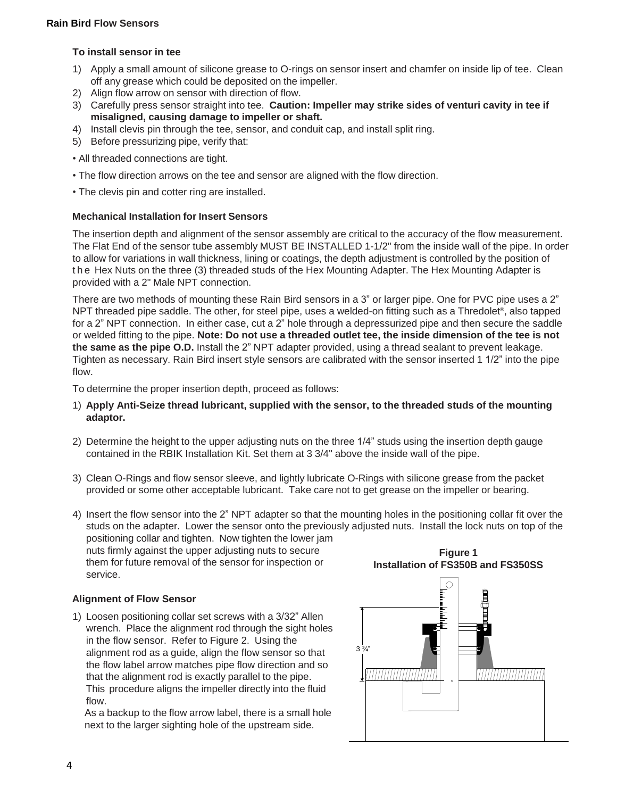#### **Rain Bird Flow Sensors**

#### **To install sensor in tee**

- 1) Apply a small amount of silicone grease to O-rings on sensor insert and chamfer on inside lip of tee. Clean off any grease which could be deposited on the impeller.
- 2) Align flow arrow on sensor with direction of flow.
- 3) Carefully press sensor straight into tee. **Caution: Impeller may strike sides of venturi cavity in tee if misaligned, causing damage to impeller or shaft.**
- 4) Install clevis pin through the tee, sensor, and conduit cap, and install split ring.
- 5) Before pressurizing pipe, verify that:
- All threaded connections are tight.
- The flow direction arrows on the tee and sensor are aligned with the flow direction.
- The clevis pin and cotter ring are installed.

#### **Mechanical Installation for Insert Sensors**

The insertion depth and alignment of the sensor assembly are critical to the accuracy of the flow measurement. The Flat End of the sensor tube assembly MUST BE INSTALLED 1-1/2" from the inside wall of the pipe. In order to allow for variations in wall thickness, lining or coatings, the depth adjustment is controlled by the position of the Hex Nuts on the three (3) threaded studs of the Hex Mounting Adapter. The Hex Mounting Adapter is provided with a 2" Male NPT connection.

There are two methods of mounting these Rain Bird sensors in a 3" or larger pipe. One for PVC pipe uses a 2" NPT threaded pipe saddle. The other, for steel pipe, uses a welded-on fitting such as a Thredolet® , also tapped for a 2" NPT connection. In either case, cut a 2" hole through a depressurized pipe and then secure the saddle or welded fitting to the pipe. **Note: Do not use a threaded outlet tee, the inside dimension of the tee is not the same as the pipe O.D.** Install the 2" NPT adapter provided, using a thread sealant to prevent leakage. Tighten as necessary. Rain Bird insert style sensors are calibrated with the sensor inserted 1 1/2" into the pipe flow.

To determine the proper insertion depth, proceed as follows:

- 1) **Apply Anti-Seize thread lubricant, supplied with the sensor, to the threaded studs of the mounting adaptor.**
- 2) Determine the height to the upper adjusting nuts on the three 1/4" studs using the insertion depth gauge contained in the RBIK Installation Kit. Set them at 3 3/4" above the inside wall of the pipe.
- 3) Clean O-Rings and flow sensor sleeve, and lightly lubricate O-Rings with silicone grease from the packet provided or some other acceptable lubricant. Take care not to get grease on the impeller or bearing.
- 4) Insert the flow sensor into the 2" NPT adapter so that the mounting holes in the positioning collar fit over the studs on the adapter. Lower the sensor onto the previously adjusted nuts. Install the lock nuts on top of the positioning collar and tighten. Now tighten the lower jam nuts firmly against the upper adjusting nuts to secure

them for future removal of the sensor for inspection or service.

#### **Alignment of Flow Sensor**

1) Loosen positioning collar set screws with a 3/32" Allen wrench. Place the alignment rod through the sight holes in the flow sensor. Refer to Figure 2. Using the alignment rod as a guide, align the flow sensor so that the flow label arrow matches pipe flow direction and so that the alignment rod is exactly parallel to the pipe. This procedure aligns the impeller directly into the fluid flow.

As a backup to the flow arrow label, there is a small hole next to the larger sighting hole of the upstream side.



**Figure 1**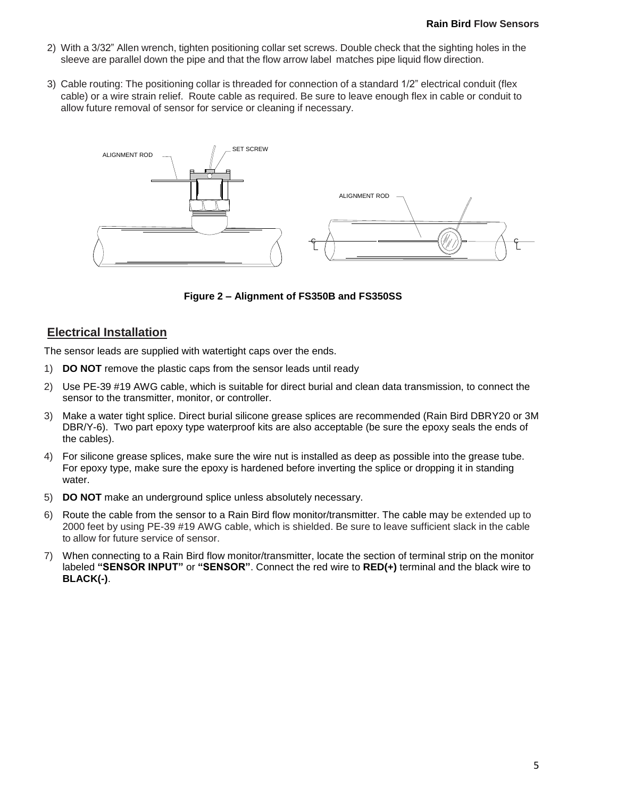- 2) With a 3/32" Allen wrench, tighten positioning collar set screws. Double check that the sighting holes in the sleeve are parallel down the pipe and that the flow arrow label matches pipe liquid flow direction.
- 3) Cable routing: The positioning collar is threaded for connection of a standard 1/2" electrical conduit (flex cable) or a wire strain relief. Route cable as required. Be sure to leave enough flex in cable or conduit to allow future removal of sensor for service or cleaning if necessary.



**Figure 2 – Alignment of FS350B and FS350SS**

## **Electrical Installation**

The sensor leads are supplied with watertight caps over the ends.

- 1) **DO NOT** remove the plastic caps from the sensor leads until ready
- 2) Use PE-39 #19 AWG cable, which is suitable for direct burial and clean data transmission, to connect the sensor to the transmitter, monitor, or controller.
- 3) Make a water tight splice. Direct burial silicone grease splices are recommended (Rain Bird DBRY20 or 3M DBR/Y-6). Two part epoxy type waterproof kits are also acceptable (be sure the epoxy seals the ends of the cables).
- 4) For silicone grease splices, make sure the wire nut is installed as deep as possible into the grease tube. For epoxy type, make sure the epoxy is hardened before inverting the splice or dropping it in standing water.
- 5) **DO NOT** make an underground splice unless absolutely necessary.
- 6) Route the cable from the sensor to a Rain Bird flow monitor/transmitter. The cable may be extended up to 2000 feet by using PE-39 #19 AWG cable, which is shielded. Be sure to leave sufficient slack in the cable to allow for future service of sensor.
- 7) When connecting to a Rain Bird flow monitor/transmitter, locate the section of terminal strip on the monitor labeled **"SENSOR INPUT"** or **"SENSOR"**. Connect the red wire to **RED(+)** terminal and the black wire to **BLACK(-)**.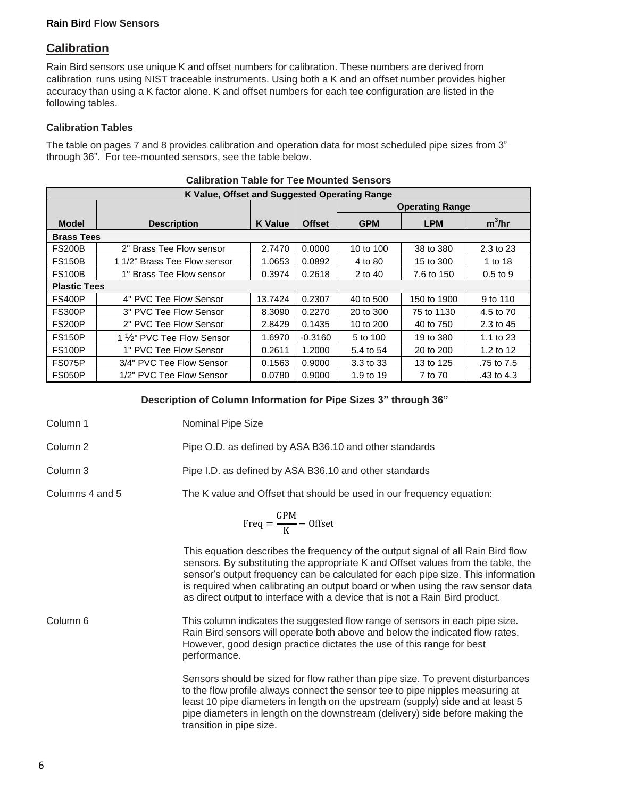#### **Rain Bird Flow Sensors**

# **Calibration**

Rain Bird sensors use unique K and offset numbers for calibration. These numbers are derived from calibration runs using NIST traceable instruments. Using both a K and an offset number provides higher accuracy than using a K factor alone. K and offset numbers for each tee configuration are listed in the following tables.

## **Calibration Tables**

The table on pages 7 and 8 provides calibration and operation data for most scheduled pipe sizes from 3" through 36". For tee-mounted sensors, see the table below.

| K Value, Offset and Suggested Operating Range |                              |                |               |                        |             |                      |
|-----------------------------------------------|------------------------------|----------------|---------------|------------------------|-------------|----------------------|
|                                               |                              |                |               | <b>Operating Range</b> |             |                      |
| <b>Model</b>                                  | <b>Description</b>           | <b>K</b> Value | <b>Offset</b> | <b>GPM</b>             | <b>LPM</b>  | $m^3/hr$             |
| <b>Brass Tees</b>                             |                              |                |               |                        |             |                      |
| <b>FS200B</b>                                 | 2" Brass Tee Flow sensor     | 2.7470         | 0.0000        | 10 to 100              | 38 to 380   | $2.3 \text{ to } 23$ |
| <b>FS150B</b>                                 | 1 1/2" Brass Tee Flow sensor | 1.0653         | 0.0892        | 4 to 80                | 15 to 300   | 1 to 18              |
| <b>FS100B</b>                                 | 1" Brass Tee Flow sensor     | 0.3974         | 0.2618        | 2 to 40                | 7.6 to 150  | $0.5$ to $9$         |
| <b>Plastic Tees</b>                           |                              |                |               |                        |             |                      |
| <b>FS400P</b>                                 | 4" PVC Tee Flow Sensor       | 13.7424        | 0.2307        | 40 to 500              | 150 to 1900 | 9 to 110             |
| <b>FS300P</b>                                 | 3" PVC Tee Flow Sensor       | 8.3090         | 0.2270        | 20 to 300              | 75 to 1130  | 4.5 to 70            |
| <b>FS200P</b>                                 | 2" PVC Tee Flow Sensor       | 2.8429         | 0.1435        | 10 to 200              | 40 to 750   | 2.3 to 45            |
| <b>FS150P</b>                                 | 1 1/2" PVC Tee Flow Sensor   | 1.6970         | $-0.3160$     | 5 to 100               | 19 to 380   | 1.1 to $23$          |
| <b>FS100P</b>                                 | 1" PVC Tee Flow Sensor       | 0.2611         | 1.2000        | 5.4 to 54              | 20 to 200   | 1.2 to 12            |
| <b>FS075P</b>                                 | 3/4" PVC Tee Flow Sensor     | 0.1563         | 0.9000        | 3.3 to 33              | 13 to 125   | .75 to 7.5           |
| <b>FS050P</b>                                 | 1/2" PVC Tee Flow Sensor     | 0.0780         | 0.9000        | 1.9 to 19              | 7 to 70     | .43 to 4.3           |

## **Description of Column Information for Pipe Sizes 3" through 36"**

Column 1 Nominal Pipe Size

Column 2 Pipe O.D. as defined by ASA B36.10 and other standards

Column 3 Pipe I.D. as defined by ASA B36.10 and other standards

Columns 4 and 5 The K value and Offset that should be used in our frequency equation:

$$
Freq = \frac{GPM}{K} - Offset
$$

This equation describes the frequency of the output signal of all Rain Bird flow sensors. By substituting the appropriate K and Offset values from the table, the sensor's output frequency can be calculated for each pipe size. This information is required when calibrating an output board or when using the raw sensor data as direct output to interface with a device that is not a Rain Bird product.

Column 6 This column indicates the suggested flow range of sensors in each pipe size. Rain Bird sensors will operate both above and below the indicated flow rates. However, good design practice dictates the use of this range for best performance.

> Sensors should be sized for flow rather than pipe size. To prevent disturbances to the flow profile always connect the sensor tee to pipe nipples measuring at least 10 pipe diameters in length on the upstream (supply) side and at least 5 pipe diameters in length on the downstream (delivery) side before making the transition in pipe size.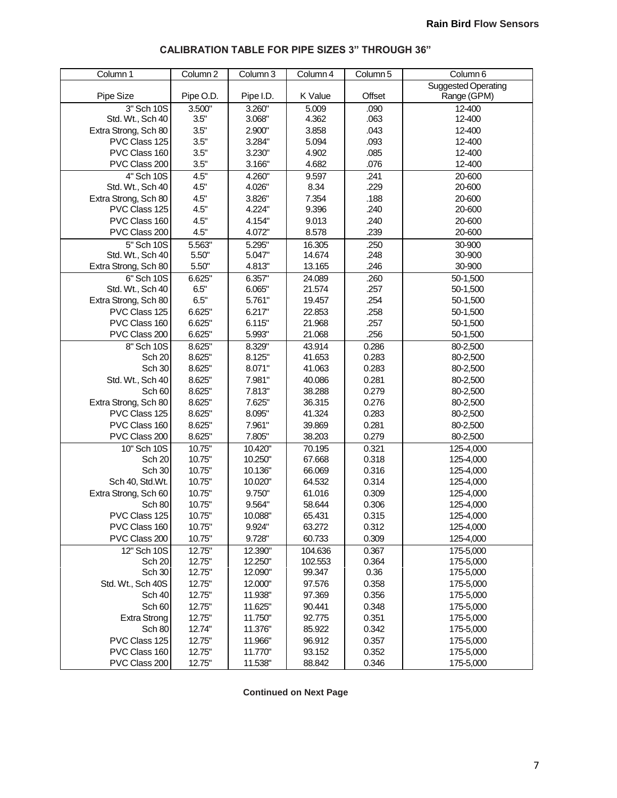| Column 1             | Column <sub>2</sub> | Column 3  | Column 4 | Column 5 | Column 6                   |
|----------------------|---------------------|-----------|----------|----------|----------------------------|
|                      |                     |           |          |          | <b>Suggested Operating</b> |
| Pipe Size            | Pipe O.D.           | Pipe I.D. | K Value  | Offset   | Range (GPM)                |
| 3" Sch 10S           | 3.500"              | 3.260"    | 5.009    | .090     | 12-400                     |
| Std. Wt., Sch 40     | 3.5"                | 3.068"    | 4.362    | .063     | 12-400                     |
| Extra Strong, Sch 80 | 3.5"                | 2.900"    | 3.858    | .043     | 12-400                     |
| PVC Class 125        | 3.5"                | 3.284"    | 5.094    | .093     | 12-400                     |
| PVC Class 160        | 3.5"                | 3.230"    | 4.902    | .085     | 12-400                     |
| PVC Class 200        | 3.5"                | 3.166"    | 4.682    | .076     | 12-400                     |
| 4" Sch 10S           | 4.5"                | 4.260"    | 9.597    | .241     | 20-600                     |
| Std. Wt., Sch 40     | 4.5"                | 4.026"    | 8.34     | .229     | 20-600                     |
| Extra Strong, Sch 80 | 4.5"                | 3.826"    | 7.354    | .188     | 20-600                     |
| PVC Class 125        | 4.5"                | 4.224"    | 9.396    | .240     | 20-600                     |
| PVC Class 160        | 4.5"                | 4.154"    | 9.013    | .240     | 20-600                     |
| PVC Class 200        | 4.5"                | 4.072"    | 8.578    | .239     | 20-600                     |
| $5"$ Sch $10S$       | 5.563"              | 5.295"    | 16.305   | .250     | 30-900                     |
| Std. Wt., Sch 40     | 5.50"               | 5.047"    | 14.674   | .248     | 30-900                     |
| Extra Strong, Sch 80 | 5.50"               | 4.813"    | 13.165   | .246     | 30-900                     |
| 6" Sch 10S           | 6.625"              | 6.357"    | 24.089   | .260     | 50-1,500                   |
| Std. Wt., Sch 40     | 6.5"                | 6.065"    | 21.574   | .257     | 50-1,500                   |
| Extra Strong, Sch 80 | 6.5"                | 5.761"    | 19.457   | .254     | 50-1,500                   |
| PVC Class 125        | 6.625"              | 6.217"    | 22.853   | .258     | 50-1,500                   |
| PVC Class 160        | 6.625"              | 6.115"    | 21.968   | .257     | 50-1,500                   |
| PVC Class 200        | 6.625"              | 5.993"    | 21.068   | .256     | 50-1,500                   |
| 8" Sch 10S           | 8.625"              | 8.329"    | 43.914   | 0.286    | 80-2,500                   |
| Sch 20               | 8.625"              | 8.125"    | 41.653   | 0.283    | 80-2,500                   |
| <b>Sch 30</b>        | 8.625"              | 8.071"    | 41.063   | 0.283    | 80-2,500                   |
| Std. Wt., Sch 40     | 8.625"              | 7.981"    | 40.086   | 0.281    | 80-2,500                   |
| Sch 60               | 8.625"              | 7.813"    | 38.288   | 0.279    | 80-2,500                   |
| Extra Strong, Sch 80 | 8.625"              | 7.625"    | 36.315   | 0.276    | 80-2,500                   |
| PVC Class 125        | 8.625"              | 8.095"    | 41.324   | 0.283    | 80-2,500                   |
| PVC Class 160        | 8.625"              | 7.961"    | 39.869   | 0.281    | 80-2,500                   |
| PVC Class 200        | 8.625"              | 7.805"    | 38.203   | 0.279    | 80-2,500                   |
| 10" Sch 10S          | 10.75"              | 10.420"   | 70.195   | 0.321    | 125-4,000                  |
| Sch 20               | 10.75"              | 10.250"   | 67.668   | 0.318    | 125-4,000                  |
| Sch 30               | 10.75"              | 10.136"   | 66.069   | 0.316    | 125-4,000                  |
| Sch 40, Std.Wt.      | 10.75"              | 10.020"   | 64.532   | 0.314    | 125-4,000                  |
| Extra Strong, Sch 60 | 10.75"              | 9.750"    | 61.016   | 0.309    | 125-4,000                  |
| Sch 80               | 10.75"              | 9.564"    | 58.644   | 0.306    | 125-4,000                  |
| PVC Class 125        | 10.75"              | 10.088"   | 65.431   | 0.315    | 125-4,000                  |
| PVC Class 160        | 10.75"              | 9.924"    | 63.272   | 0.312    | 125-4,000                  |
| PVC Class 200        | 10.75"              | 9.728"    | 60.733   | 0.309    | 125-4,000                  |
| 12" Sch 10S          | 12.75"              | 12.390"   | 104.636  | 0.367    | 175-5,000                  |
| Sch 20               | 12.75"              | 12.250"   | 102.553  | 0.364    | 175-5,000                  |
| Sch 30               | 12.75"              | 12.090"   | 99.347   | 0.36     | 175-5,000                  |
| Std. Wt., Sch 40S    | 12.75"              | 12.000"   | 97.576   | 0.358    | 175-5,000                  |
| Sch 40               | 12.75"              | 11.938"   | 97.369   | 0.356    | 175-5,000                  |
| Sch 60               | 12.75"              | 11.625"   | 90.441   | 0.348    | 175-5,000                  |
| <b>Extra Strong</b>  | 12.75"              | 11.750"   | 92.775   | 0.351    | 175-5,000                  |
| Sch 80               | 12.74"              | 11.376"   | 85.922   | 0.342    | 175-5,000                  |
| PVC Class 125        | 12.75"              | 11.966"   | 96.912   | 0.357    | 175-5,000                  |
| PVC Class 160        | 12.75"              | 11.770"   | 93.152   | 0.352    | 175-5,000                  |
| PVC Class 200        | 12.75"              | 11.538"   | 88.842   | 0.346    | 175-5,000                  |
|                      |                     |           |          |          |                            |

## **CALIBRATION TABLE FOR PIPE SIZES 3" THROUGH 36"**

**Continued on Next Page**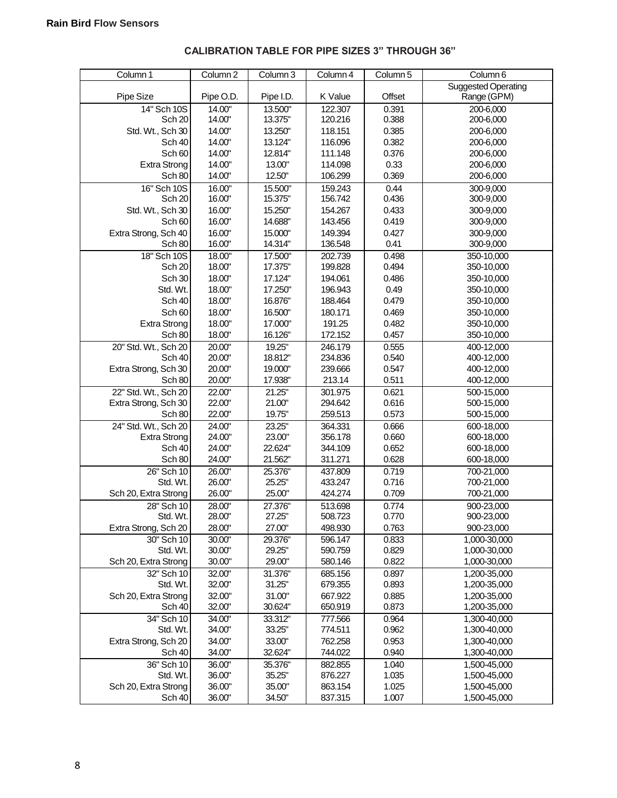| Column 1             | Column <sub>2</sub> | Column 3  | Column 4 | Column 5 | Column 6                   |
|----------------------|---------------------|-----------|----------|----------|----------------------------|
|                      |                     |           |          |          | <b>Suggested Operating</b> |
| Pipe Size            | Pipe O.D.           | Pipe I.D. | K Value  | Offset   | Range (GPM)                |
| 14" Sch 10S          | 14.00"              | 13.500"   | 122.307  | 0.391    | 200-6,000                  |
| <b>Sch 20</b>        | 14.00"              | 13.375"   | 120.216  | 0.388    | 200-6,000                  |
| Std. Wt., Sch 30     | 14.00"              | 13.250"   | 118.151  | 0.385    | 200-6,000                  |
| Sch 40               | 14.00"              | 13.124"   | 116.096  | 0.382    | 200-6,000                  |
| Sch <sub>60</sub>    | 14.00"              | 12.814"   | 111.148  | 0.376    | 200-6,000                  |
| <b>Extra Strong</b>  | 14.00"              | 13.00"    | 114.098  | 0.33     | 200-6,000                  |
| Sch 80               | 14.00"              | 12.50"    | 106.299  | 0.369    | 200-6,000                  |
| 16" Sch 10S          | 16.00"              | 15.500"   | 159.243  | 0.44     | 300-9,000                  |
| Sch <sub>20</sub>    | 16.00"              | 15.375"   | 156.742  | 0.436    | 300-9,000                  |
| Std. Wt., Sch 30     | 16.00"              | 15.250"   | 154.267  | 0.433    | 300-9,000                  |
| Sch <sub>60</sub>    | 16.00"              | 14.688"   | 143.456  | 0.419    | 300-9,000                  |
| Extra Strong, Sch 40 | 16.00"              | 15.000"   | 149.394  | 0.427    | 300-9,000                  |
| Sch 80               | 16.00"              | 14.314"   | 136.548  | 0.41     | 300-9,000                  |
| $18"$ Sch 10S        | 18.00"              | 17.500"   | 202.739  | 0.498    | 350-10,000                 |
| Sch 20               | 18.00"              | 17.375"   | 199.828  | 0.494    | 350-10,000                 |
| Sch 30               | 18.00"              | 17.124"   | 194.061  | 0.486    | 350-10,000                 |
| Std. Wt.             | 18.00"              | 17.250"   | 196.943  | 0.49     | 350-10,000                 |
| Sch 40               | 18.00"              | 16.876"   | 188.464  | 0.479    | 350-10,000                 |
| Sch <sub>60</sub>    | 18.00"              | 16.500"   | 180.171  | 0.469    | 350-10,000                 |
| Extra Strong         | 18.00"              | 17.000"   | 191.25   | 0.482    | 350-10,000                 |
| Sch 80               | 18.00"              | 16.126"   | 172.152  | 0.457    | 350-10,000                 |
| 20" Std. Wt., Sch 20 | 20.00"              | 19.25"    | 246.179  | 0.555    | 400-12,000                 |
| Sch 40               | 20.00"              | 18.812"   | 234.836  | 0.540    | 400-12,000                 |
| Extra Strong, Sch 30 | 20.00"              | 19.000"   | 239.666  | 0.547    | 400-12,000                 |
| Sch 80               | 20.00"              | 17.938"   | 213.14   | 0.511    | 400-12,000                 |
| 22" Std. Wt., Sch 20 | 22.00"              | 21.25"    | 301.975  | 0.621    | 500-15,000                 |
| Extra Strong, Sch 30 | 22.00"              | 21.00"    | 294.642  | 0.616    | 500-15,000                 |
| Sch 80               | 22.00"              | 19.75"    | 259.513  | 0.573    | 500-15,000                 |
| 24" Std. Wt., Sch 20 | 24.00"              | 23.25"    | 364.331  | 0.666    | 600-18,000                 |
| <b>Extra Strong</b>  | 24.00"              | 23.00"    | 356.178  | 0.660    | 600-18,000                 |
| <b>Sch 40</b>        | 24.00"              | 22.624"   | 344.109  | 0.652    | 600-18,000                 |
| Sch 80               | 24.00"              | 21.562"   | 311.271  | 0.628    | 600-18,000                 |
| 26" Sch 10           | 26.00"              | 25.376"   | 437.809  | 0.719    | 700-21,000                 |
| Std. Wt.             | 26.00"              | 25.25"    | 433.247  | 0.716    | 700-21,000                 |
| Sch 20, Extra Strong | 26.00"              | 25.00"    | 424.274  | 0.709    | 700-21,000                 |
| 28" Sch 10           | 28.00"              | 27.376"   | 513.698  | 0.774    | 900-23,000                 |
| Std. Wt.             | 28.00"              | 27.25"    | 508.723  | 0.770    | 900-23,000                 |
| Extra Strong, Sch 20 | 28.00"              | 27.00"    | 498.930  | 0.763    | 900-23,000                 |
| 30" Sch 10           | 30.00"              | 29.376"   | 596.147  | 0.833    | 1,000-30,000               |
| Std. Wt.             | 30.00"              | 29.25"    | 590.759  | 0.829    | 1,000-30,000               |
| Sch 20, Extra Strong | 30.00"              | 29.00"    | 580.146  | 0.822    | 1,000-30,000               |
| 32" Sch 10           | 32.00"              | 31.376"   | 685.156  | 0.897    | 1,200-35,000               |
| Std. Wt.             | 32.00"              | 31.25"    | 679.355  | 0.893    | 1,200-35,000               |
| Sch 20, Extra Strong | 32.00"              | 31.00"    | 667.922  | 0.885    | 1,200-35,000               |
| Sch 40               | 32.00"              | 30.624"   | 650.919  | 0.873    | 1,200-35,000               |
| 34" Sch 10           | 34.00"              | 33.312"   | 777.566  | 0.964    | 1,300-40,000               |
| Std. Wt.             | 34.00"              | 33.25"    | 774.511  | 0.962    | 1,300-40,000               |
| Extra Strong, Sch 20 | 34.00"              | 33.00"    | 762.258  | 0.953    | 1,300-40,000               |
| Sch 40               | 34.00"              | 32.624"   | 744.022  | 0.940    | 1,300-40,000               |
| 36" Sch 10           | 36.00"              | 35.376"   | 882.855  | 1.040    | 1,500-45,000               |
| Std. Wt.             | 36.00"              | 35.25"    | 876.227  | 1.035    | 1,500-45,000               |
| Sch 20, Extra Strong | 36.00"              | 35.00"    | 863.154  | 1.025    | 1,500-45,000               |
| Sch 40               | 36.00"              | 34.50"    | 837.315  | 1.007    | 1,500-45,000               |

# **CALIBRATION TABLE FOR PIPE SIZES 3" THROUGH 36"**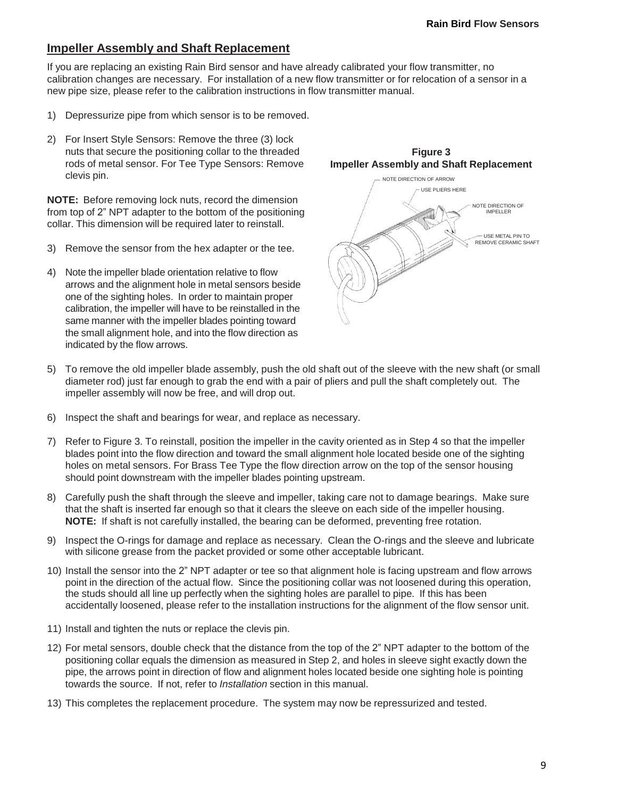# **Impeller Assembly and Shaft Replacement**

If you are replacing an existing Rain Bird sensor and have already calibrated your flow transmitter, no calibration changes are necessary. For installation of a new flow transmitter or for relocation of a sensor in a new pipe size, please refer to the calibration instructions in flow transmitter manual.

- 1) Depressurize pipe from which sensor is to be removed.
- 2) For Insert Style Sensors: Remove the three (3) lock nuts that secure the positioning collar to the threaded rods of metal sensor. For Tee Type Sensors: Remove clevis pin.

**NOTE:** Before removing lock nuts, record the dimension from top of 2" NPT adapter to the bottom of the positioning collar. This dimension will be required later to reinstall.

- 3) Remove the sensor from the hex adapter or the tee.
- 4) Note the impeller blade orientation relative to flow arrows and the alignment hole in metal sensors beside one of the sighting holes. In order to maintain proper calibration, the impeller will have to be reinstalled in the same manner with the impeller blades pointing toward the small alignment hole, and into the flow direction as indicated by the flow arrows.



- 5) To remove the old impeller blade assembly, push the old shaft out of the sleeve with the new shaft (or small diameter rod) just far enough to grab the end with a pair of pliers and pull the shaft completely out. The impeller assembly will now be free, and will drop out.
- 6) Inspect the shaft and bearings for wear, and replace as necessary.
- 7) Refer to Figure 3. To reinstall, position the impeller in the cavity oriented as in Step 4 so that the impeller blades point into the flow direction and toward the small alignment hole located beside one of the sighting holes on metal sensors. For Brass Tee Type the flow direction arrow on the top of the sensor housing should point downstream with the impeller blades pointing upstream.
- 8) Carefully push the shaft through the sleeve and impeller, taking care not to damage bearings. Make sure that the shaft is inserted far enough so that it clears the sleeve on each side of the impeller housing. **NOTE:** If shaft is not carefully installed, the bearing can be deformed, preventing free rotation.
- 9) Inspect the O-rings for damage and replace as necessary. Clean the O-rings and the sleeve and lubricate with silicone grease from the packet provided or some other acceptable lubricant.
- 10) Install the sensor into the 2" NPT adapter or tee so that alignment hole is facing upstream and flow arrows point in the direction of the actual flow. Since the positioning collar was not loosened during this operation, the studs should all line up perfectly when the sighting holes are parallel to pipe. If this has been accidentally loosened, please refer to the installation instructions for the alignment of the flow sensor unit.
- 11) Install and tighten the nuts or replace the clevis pin.
- 12) For metal sensors, double check that the distance from the top of the 2" NPT adapter to the bottom of the positioning collar equals the dimension as measured in Step 2, and holes in sleeve sight exactly down the pipe, the arrows point in direction of flow and alignment holes located beside one sighting hole is pointing towards the source. If not, refer to *Installation* section in this manual.
- 13) This completes the replacement procedure. The system may now be repressurized and tested.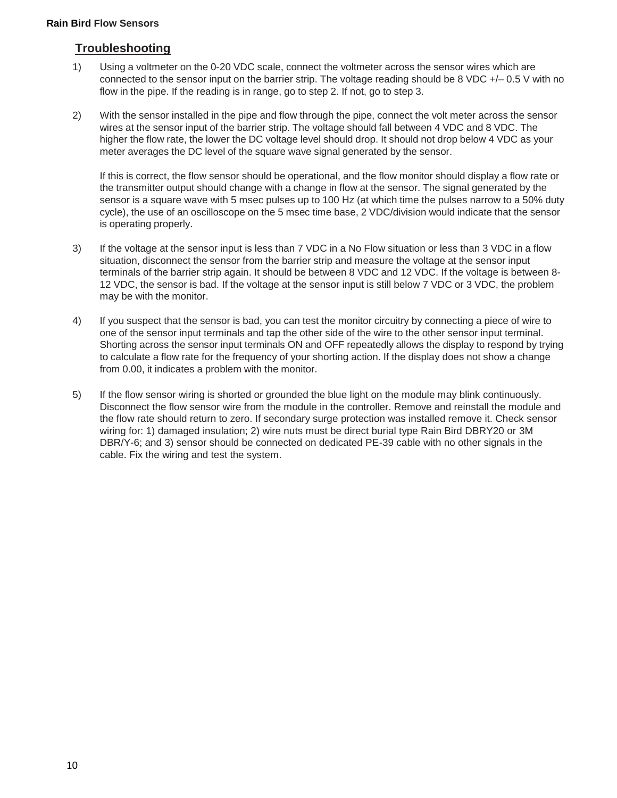# **Troubleshooting**

- 1) Using a voltmeter on the 0-20 VDC scale, connect the voltmeter across the sensor wires which are connected to the sensor input on the barrier strip. The voltage reading should be 8 VDC +/– 0.5 V with no flow in the pipe. If the reading is in range, go to step 2. If not, go to step 3.
- 2) With the sensor installed in the pipe and flow through the pipe, connect the volt meter across the sensor wires at the sensor input of the barrier strip. The voltage should fall between 4 VDC and 8 VDC. The higher the flow rate, the lower the DC voltage level should drop. It should not drop below 4 VDC as your meter averages the DC level of the square wave signal generated by the sensor.

If this is correct, the flow sensor should be operational, and the flow monitor should display a flow rate or the transmitter output should change with a change in flow at the sensor. The signal generated by the sensor is a square wave with 5 msec pulses up to 100 Hz (at which time the pulses narrow to a 50% duty cycle), the use of an oscilloscope on the 5 msec time base, 2 VDC/division would indicate that the sensor is operating properly.

- 3) If the voltage at the sensor input is less than 7 VDC in a No Flow situation or less than 3 VDC in a flow situation, disconnect the sensor from the barrier strip and measure the voltage at the sensor input terminals of the barrier strip again. It should be between 8 VDC and 12 VDC. If the voltage is between 8- 12 VDC, the sensor is bad. If the voltage at the sensor input is still below 7 VDC or 3 VDC, the problem may be with the monitor.
- 4) If you suspect that the sensor is bad, you can test the monitor circuitry by connecting a piece of wire to one of the sensor input terminals and tap the other side of the wire to the other sensor input terminal. Shorting across the sensor input terminals ON and OFF repeatedly allows the display to respond by trying to calculate a flow rate for the frequency of your shorting action. If the display does not show a change from 0.00, it indicates a problem with the monitor.
- 5) If the flow sensor wiring is shorted or grounded the blue light on the module may blink continuously. Disconnect the flow sensor wire from the module in the controller. Remove and reinstall the module and the flow rate should return to zero. If secondary surge protection was installed remove it. Check sensor wiring for: 1) damaged insulation; 2) wire nuts must be direct burial type Rain Bird DBRY20 or 3M DBR/Y-6; and 3) sensor should be connected on dedicated PE-39 cable with no other signals in the cable. Fix the wiring and test the system.